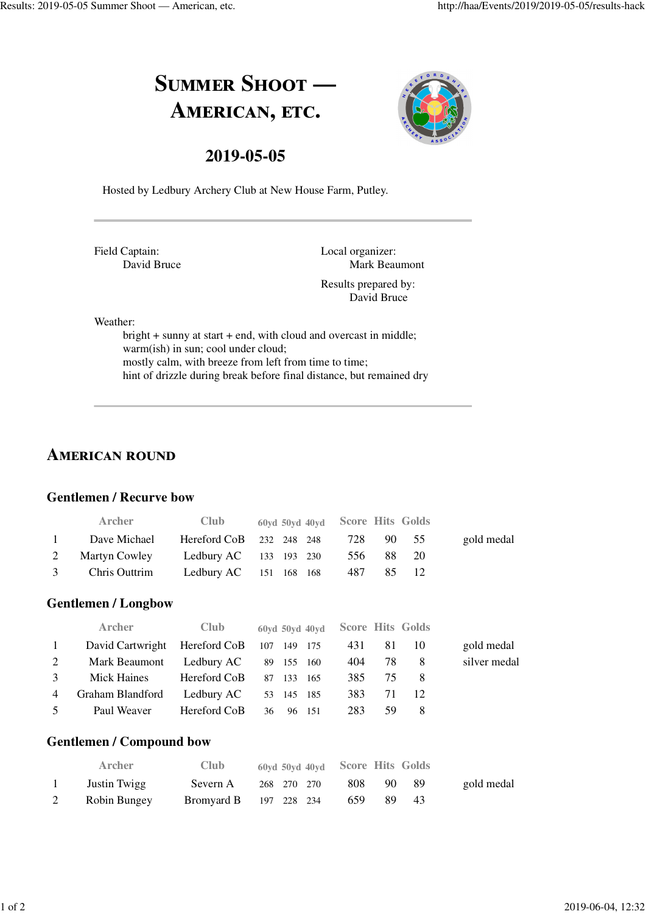# SUMMER SHOOT -AMERICAN, ETC.



### **2019-05-05**

Hosted by Ledbury Archery Club at New House Farm, Putley.

Field Captain: David Bruce Local organizer: Mark Beaumont

Results prepared by: David Bruce

Weather:

bright + sunny at start + end, with cloud and overcast in middle; warm(ish) in sun; cool under cloud; mostly calm, with breeze from left from time to time; hint of drizzle during break before final distance, but remained dry

# **AMERICAN ROUND**

#### **Gentlemen / Recurve bow**

|          | <b>Archer</b>   | <b>Club</b> | 60yd 50yd 40yd Score Hits Golds    |       |       |            |
|----------|-----------------|-------------|------------------------------------|-------|-------|------------|
| $\sim$ 1 | Dave Michael    |             | Hereford CoB 232 248 248 728 90 55 |       |       | gold medal |
|          | 2 Martyn Cowley |             | Ledbury AC $133$ 193 230           | 556   | 88 20 |            |
|          | 3 Chris Outtrim |             | Ledbury AC $151 \t168 \t168$       | 487 — | 85 12 |            |

#### **Gentlemen / Longbow**

|              | <b>Archer</b>                             | <b>Club</b>  | 60yd 50yd 40yd Score Hits Golds |     |     |      |              |
|--------------|-------------------------------------------|--------------|---------------------------------|-----|-----|------|--------------|
| $\mathbf{1}$ | David Cartwright Hereford CoB 107 149 175 |              |                                 | 431 | -81 | - 10 | gold medal   |
| 2            | Mark Beaumont Ledbury AC                  |              | 89 155 160                      | 404 | 78  | - 8  | silver medal |
| 3            | Mick Haines Hereford CoB                  |              | 87 133<br>- 165                 | 385 | 75  | - 8  |              |
| 4            | Graham Blandford                          | Ledbury AC   | 53 145 185                      | 383 | 71  | - 12 |              |
| 5            | Paul Weaver                               | Hereford CoB | 36<br>96 151                    | 283 | -59 | -8   |              |

#### **Gentlemen / Compound bow**

| <b>Archer</b> | <b>Club</b> | 60yd 50yd 40yd Score Hits Golds |     |      |      |            |
|---------------|-------------|---------------------------------|-----|------|------|------------|
| Justin Twigg  | Severn A    | 268 270 270                     | 808 | -90- | - 89 | gold medal |
| Robin Bungey  |             | <b>Bromyard B</b> 197 228 234   | 659 | -89. | -43  |            |